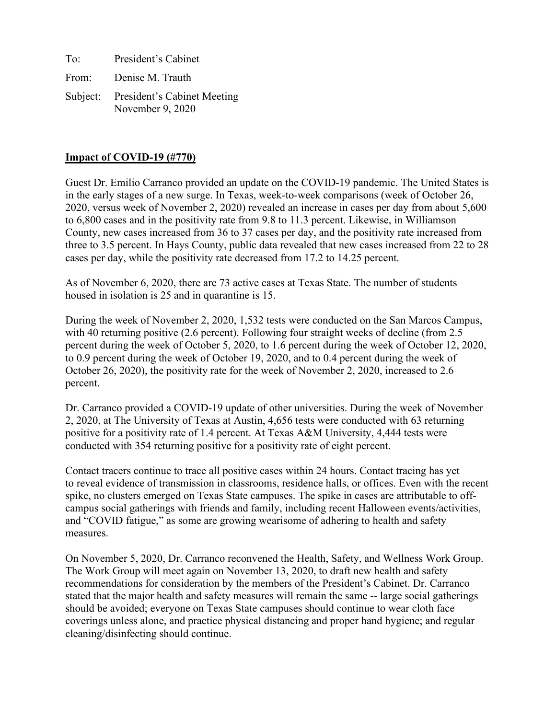| To:   | President's Cabinet                                      |
|-------|----------------------------------------------------------|
| From: | Denise M. Trauth                                         |
|       | Subject: President's Cabinet Meeting<br>November 9, 2020 |

### **Impact of COVID-19 (#770)**

Guest Dr. Emilio Carranco provided an update on the COVID-19 pandemic. The United States is in the early stages of a new surge. In Texas, week-to-week comparisons (week of October 26, 2020, versus week of November 2, 2020) revealed an increase in cases per day from about 5,600 to 6,800 cases and in the positivity rate from 9.8 to 11.3 percent. Likewise, in Williamson County, new cases increased from 36 to 37 cases per day, and the positivity rate increased from three to 3.5 percent. In Hays County, public data revealed that new cases increased from 22 to 28 cases per day, while the positivity rate decreased from 17.2 to 14.25 percent.

As of November 6, 2020, there are 73 active cases at Texas State. The number of students housed in isolation is 25 and in quarantine is 15.

During the week of November 2, 2020, 1,532 tests were conducted on the San Marcos Campus, with 40 returning positive (2.6 percent). Following four straight weeks of decline (from 2.5 percent during the week of October 5, 2020, to 1.6 percent during the week of October 12, 2020, to 0.9 percent during the week of October 19, 2020, and to 0.4 percent during the week of October 26, 2020), the positivity rate for the week of November 2, 2020, increased to 2.6 percent.

Dr. Carranco provided a COVID-19 update of other universities. During the week of November 2, 2020, at The University of Texas at Austin, 4,656 tests were conducted with 63 returning positive for a positivity rate of 1.4 percent. At Texas A&M University, 4,444 tests were conducted with 354 returning positive for a positivity rate of eight percent.

Contact tracers continue to trace all positive cases within 24 hours. Contact tracing has yet to reveal evidence of transmission in classrooms, residence halls, or offices. Even with the recent spike, no clusters emerged on Texas State campuses. The spike in cases are attributable to offcampus social gatherings with friends and family, including recent Halloween events/activities, and "COVID fatigue," as some are growing wearisome of adhering to health and safety measures.

On November 5, 2020, Dr. Carranco reconvened the Health, Safety, and Wellness Work Group. The Work Group will meet again on November 13, 2020, to draft new health and safety recommendations for consideration by the members of the President's Cabinet. Dr. Carranco stated that the major health and safety measures will remain the same -- large social gatherings should be avoided; everyone on Texas State campuses should continue to wear cloth face coverings unless alone, and practice physical distancing and proper hand hygiene; and regular cleaning/disinfecting should continue.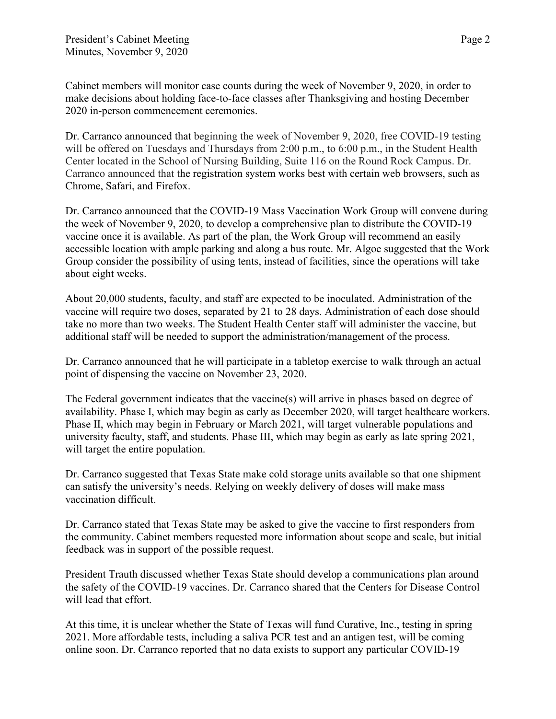Cabinet members will monitor case counts during the week of November 9, 2020, in order to make decisions about holding face-to-face classes after Thanksgiving and hosting December 2020 in-person commencement ceremonies.

Dr. Carranco announced that beginning the week of November 9, 2020, free COVID-19 testing will be offered on Tuesdays and Thursdays from 2:00 p.m., to 6:00 p.m., in the Student Health Center located in the School of Nursing Building, Suite 116 on the Round Rock Campus. Dr. Carranco announced that the registration system works best with certain web browsers, such as Chrome, Safari, and Firefox.

Dr. Carranco announced that the COVID-19 Mass Vaccination Work Group will convene during the week of November 9, 2020, to develop a comprehensive plan to distribute the COVID-19 vaccine once it is available. As part of the plan, the Work Group will recommend an easily accessible location with ample parking and along a bus route. Mr. Algoe suggested that the Work Group consider the possibility of using tents, instead of facilities, since the operations will take about eight weeks.

About 20,000 students, faculty, and staff are expected to be inoculated. Administration of the vaccine will require two doses, separated by 21 to 28 days. Administration of each dose should take no more than two weeks. The Student Health Center staff will administer the vaccine, but additional staff will be needed to support the administration/management of the process.

Dr. Carranco announced that he will participate in a tabletop exercise to walk through an actual point of dispensing the vaccine on November 23, 2020.

The Federal government indicates that the vaccine(s) will arrive in phases based on degree of availability. Phase I, which may begin as early as December 2020, will target healthcare workers. Phase II, which may begin in February or March 2021, will target vulnerable populations and university faculty, staff, and students. Phase III, which may begin as early as late spring 2021, will target the entire population.

Dr. Carranco suggested that Texas State make cold storage units available so that one shipment can satisfy the university's needs. Relying on weekly delivery of doses will make mass vaccination difficult.

Dr. Carranco stated that Texas State may be asked to give the vaccine to first responders from the community. Cabinet members requested more information about scope and scale, but initial feedback was in support of the possible request.

President Trauth discussed whether Texas State should develop a communications plan around the safety of the COVID-19 vaccines. Dr. Carranco shared that the Centers for Disease Control will lead that effort.

At this time, it is unclear whether the State of Texas will fund Curative, Inc., testing in spring 2021. More affordable tests, including a saliva PCR test and an antigen test, will be coming online soon. Dr. Carranco reported that no data exists to support any particular COVID-19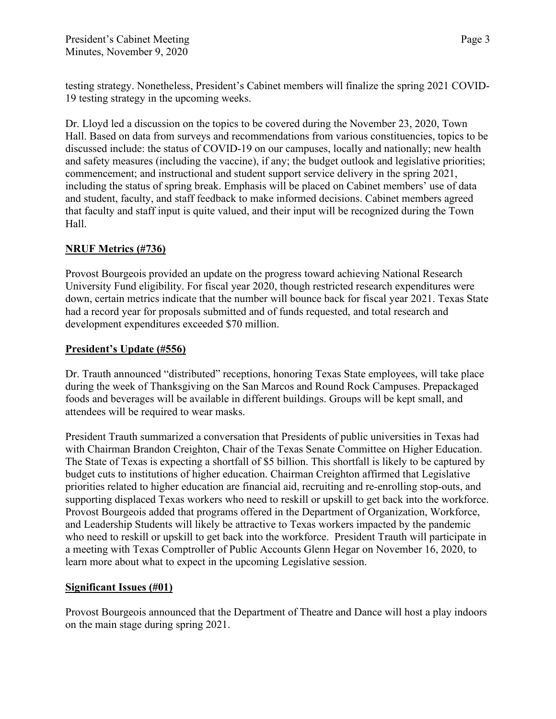testing strategy. Nonetheless, President's Cabinet members will finalize the spring 2021 COVID-19 testing strategy in the upcoming weeks.

Dr. Lloyd led a discussion on the topics to be covered during the November 23, 2020, Town Hall. Based on data from surveys and recommendations from various constituencies, topics to be discussed include: the status of COVID-19 on our campuses, locally and nationally; new health and safety measures (including the vaccine), if any; the budget outlook and legislative priorities; commencement; and instructional and student support service delivery in the spring 2021, including the status of spring break. Emphasis will be placed on Cabinet members' use of data and student, faculty, and staff feedback to make informed decisions. Cabinet members agreed that faculty and staff input is quite valued, and their input will be recognized during the Town Hall.

# **NRUF Metrics (#736)**

Provost Bourgeois provided an update on the progress toward achieving National Research University Fund eligibility. For fiscal year 2020, though restricted research expenditures were down, certain metrics indicate that the number will bounce back for fiscal year 2021. Texas State had a record year for proposals submitted and of funds requested, and total research and development expenditures exceeded \$70 million.

## **President's Update (#556)**

Dr. Trauth announced "distributed" receptions, honoring Texas State employees, will take place during the week of Thanksgiving on the San Marcos and Round Rock Campuses. Prepackaged foods and beverages will be available in different buildings. Groups will be kept small, and attendees will be required to wear masks.

President Trauth summarized a conversation that Presidents of public universities in Texas had with Chairman Brandon Creighton, Chair of the Texas Senate Committee on Higher Education. The State of Texas is expecting a shortfall of \$5 billion. This shortfall is likely to be captured by budget cuts to institutions of higher education. Chairman Creighton affirmed that Legislative priorities related to higher education are financial aid, recruiting and re-enrolling stop-outs, and supporting displaced Texas workers who need to reskill or upskill to get back into the workforce. Provost Bourgeois added that programs offered in the Department of Organization, Workforce, and Leadership Students will likely be attractive to Texas workers impacted by the pandemic who need to reskill or upskill to get back into the workforce. President Trauth will participate in a meeting with Texas Comptroller of Public Accounts Glenn Hegar on November 16, 2020, to learn more about what to expect in the upcoming Legislative session.

## **Significant Issues (#01)**

Provost Bourgeois announced that the Department of Theatre and Dance will host a play indoors on the main stage during spring 2021.